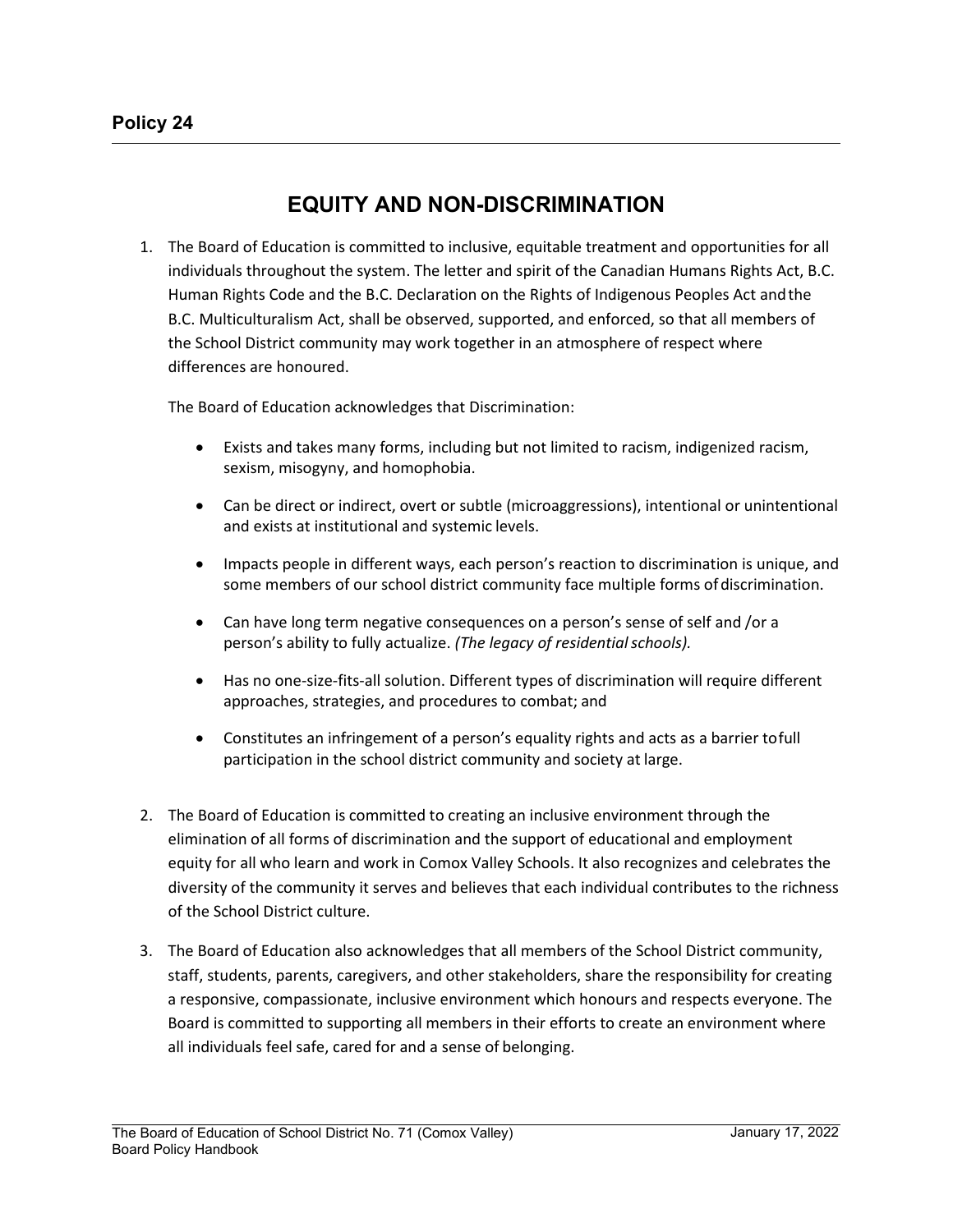## **EQUITY AND NON-DISCRIMINATION**

1. The Board of Education is committed to inclusive, equitable treatment and opportunities for all individuals throughout the system. The letter and spirit of the Canadian Humans Rights Act, B.C. Human Rights Code and the B.C. Declaration on the Rights of Indigenous Peoples Act andthe B.C. Multiculturalism Act, shall be observed, supported, and enforced, so that all members of the School District community may work together in an atmosphere of respect where differences are honoured.

The Board of Education acknowledges that Discrimination:

- Exists and takes many forms, including but not limited to racism, indigenized racism, sexism, misogyny, and homophobia.
- Can be direct or indirect, overt or subtle (microaggressions), intentional or unintentional and exists at institutional and systemic levels.
- Impacts people in different ways, each person's reaction to discrimination is unique, and some members of our school district community face multiple forms of discrimination.
- Can have long term negative consequences on a person's sense of self and /or a person's ability to fully actualize. *(The legacy of residentialschools).*
- Has no one-size-fits-all solution. Different types of discrimination will require different approaches, strategies, and procedures to combat; and
- Constitutes an infringement of a person's equality rights and acts as a barrier tofull participation in the school district community and society at large.
- 2. The Board of Education is committed to creating an inclusive environment through the elimination of all forms of discrimination and the support of educational and employment equity for all who learn and work in Comox Valley Schools. It also recognizes and celebrates the diversity of the community it serves and believes that each individual contributes to the richness of the School District culture.
- 3. The Board of Education also acknowledges that all members of the School District community, staff, students, parents, caregivers, and other stakeholders, share the responsibility for creating a responsive, compassionate, inclusive environment which honours and respects everyone. The Board is committed to supporting all members in their efforts to create an environment where all individuals feel safe, cared for and a sense of belonging.